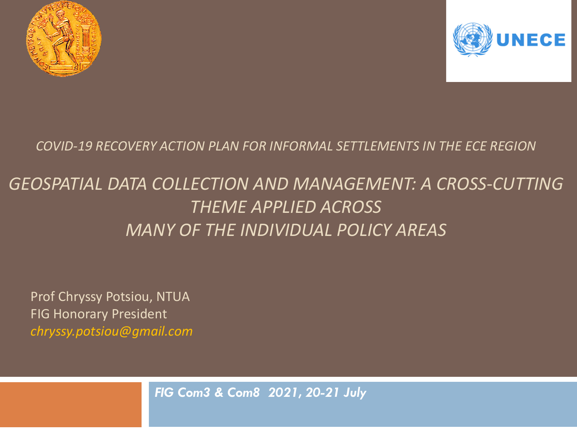



*COVID-19 RECOVERY ACTION PLAN FOR INFORMAL SETTLEMENTS IN THE ECE REGION* 

## *GEOSPATIAL DATA COLLECTION AND MANAGEMENT: A CROSS-CUTTING THEME APPLIED ACROSS MANY OF THE INDIVIDUAL POLICY AREAS*

Prof Chryssy Potsiou, NTUA FIG Honorary President *chryssy.potsiou@gmail.com*

*FIG Com3 & Com8 2021, 20-21 July*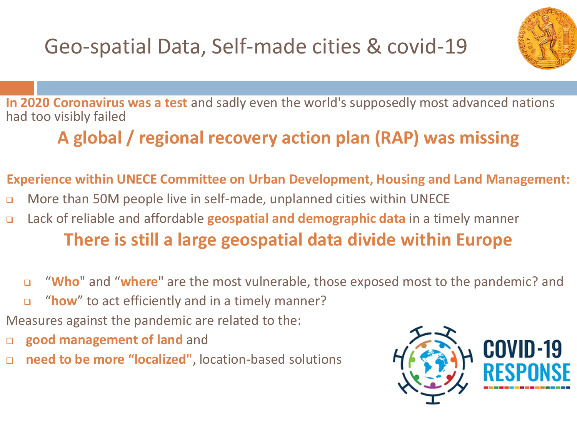Geo-spatial Data, Self-made cities & covid-19



**In 2020 Coronavirus was a test** and sadly even the world's supposedly most advanced nations had too visibly failed

## **A global / regional recovery action plan (RAP) was missing**

#### **Experience within UNECE Committee on Urban Development, Housing and Land Management:**

- ❑ More than 50M people live in self-made, unplanned cities within UNECE
- ❑ Lack of reliable and affordable **geospatial and demographic data** in a timely manner **There is still a large geospatial data divide within Europe**
	- ❑ "**Who**" and "**where**" are the most vulnerable, those exposed most to the pandemic? and
	- ❑ "**how**" to act efficiently and in a timely manner?
- Measures against the pandemic are related to the:
- **good management of land** and
- **need to be more "localized"**, location-based solutions

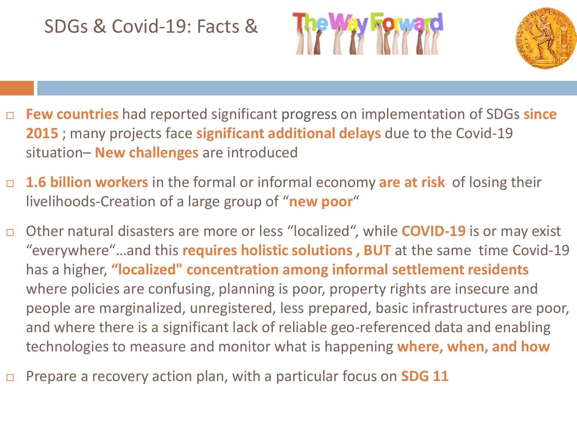### SDGs & Covid-19: Facts &





- **Few countries** had reported significant progress on implementation of SDGs **since 2015** ; many projects face **significant additional delays** due to the Covid-19 situation– **New challenges** are introduced
- **1.6 billion workers** in the formal or informal economy **are at risk** of losing their livelihoods-Creation of a large group of "**new poor**"
- Other natural disasters are more or less "localized", while **COVID-19** is or may exist "everywhere"…and this **requires holistic solutions , BUT** at the same time Covid-19 has a higher, **"localized" concentration among informal settlement residents** where policies are confusing, planning is poor, property rights are insecure and people are marginalized, unregistered, less prepared, basic infrastructures are poor, and where there is a significant lack of reliable geo-referenced data and enabling technologies to measure and monitor what is happening **where, when, and how**
- Prepare a recovery action plan, with a particular focus on **SDG 11**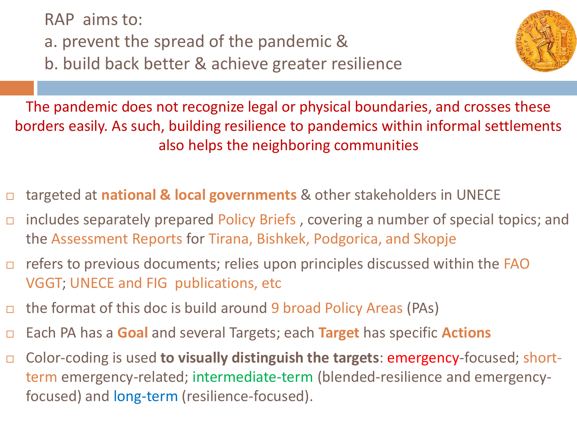RAP aims to:

a. prevent the spread of the pandemic &

b. build back better & achieve greater resilience



The pandemic does not recognize legal or physical boundaries, and crosses these borders easily. As such, building resilience to pandemics within informal settlements also helps the neighboring communities

- targeted at **national & local governments** & other stakeholders in UNECE
- includes separately prepared Policy Briefs , covering a number of special topics; and the Assessment Reports for Tirana, Bishkek, Podgorica, and Skopje
- $\Box$  refers to previous documents; relies upon principles discussed within the FAO VGGT; UNECE and FIG publications, etc
- $\Box$  the format of this doc is build around 9 broad Policy Areas (PAs)
- Each PA has a **Goal** and several Targets; each **Target** has specific **Actions**
- Color-coding is used **to visually distinguish the targets**: emergency-focused; shortterm emergency-related; intermediate-term (blended-resilience and emergencyfocused) and long-term (resilience-focused).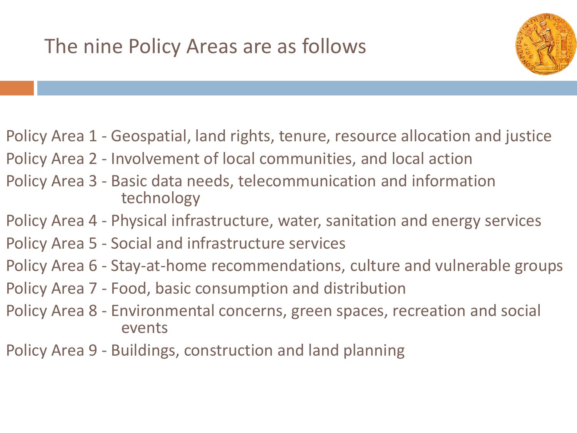

Policy Area 1 - Geospatial, land rights, tenure, resource allocation and justice

- Policy Area 2 Involvement of local communities, and local action
- Policy Area 3 Basic data needs, telecommunication and information technology
- Policy Area 4 Physical infrastructure, water, sanitation and energy services
- Policy Area 5 Social and infrastructure services
- Policy Area 6 Stay-at-home recommendations, culture and vulnerable groups
- Policy Area 7 Food, basic consumption and distribution
- Policy Area 8 Environmental concerns, green spaces, recreation and social events
- Policy Area 9 Buildings, construction and land planning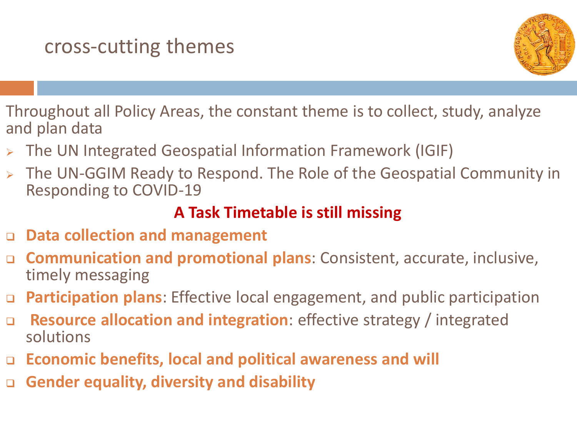

Throughout all Policy Areas, the constant theme is to collect, study, analyze and plan data

- ➢ The UN Integrated Geospatial Information Framework (IGIF)
- ➢ The UN-GGIM Ready to Respond. The Role of the Geospatial Community in Responding to COVID-19

### **A Task Timetable is still missing**

- ❑ **Data collection and management**
- ❑ **Communication and promotional plans**: Consistent, accurate, inclusive, timely messaging
- ❑ **Participation plans**: Effective local engagement, and public participation
- ❑ **Resource allocation and integration**: effective strategy / integrated solutions
- ❑ **Economic benefits, local and political awareness and will**
- ❑ **Gender equality, diversity and disability**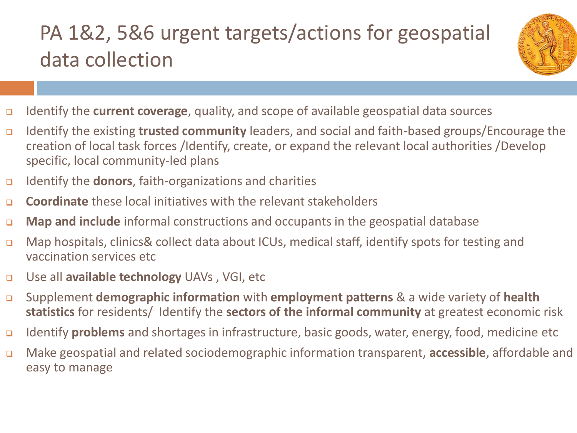# PA 1&2, 5&6 urgent targets/actions for geospatial data collection



- ❑ Identify the **current coverage**, quality, and scope of available geospatial data sources
- ❑ Identify the existing **trusted community** leaders, and social and faith-based groups/Encourage the creation of local task forces /Identify, create, or expand the relevant local authorities /Develop specific, local community-led plans
- ❑ Identify the **donors**, faith-organizations and charities
- ❑ **Coordinate** these local initiatives with the relevant stakeholders
- ❑ **Map and include** informal constructions and occupants in the geospatial database
- ❑ Map hospitals, clinics& collect data about ICUs, medical staff, identify spots for testing and vaccination services etc
- ❑ Use all **available technology** UAVs , VGI, etc
- ❑ Supplement **demographic information** with **employment patterns** & a wide variety of **health statistics** for residents/ Identify the **sectors of the informal community** at greatest economic risk
- ❑ Identify **problems** and shortages in infrastructure, basic goods, water, energy, food, medicine etc
- ❑ Make geospatial and related sociodemographic information transparent, **accessible**, affordable and easy to manage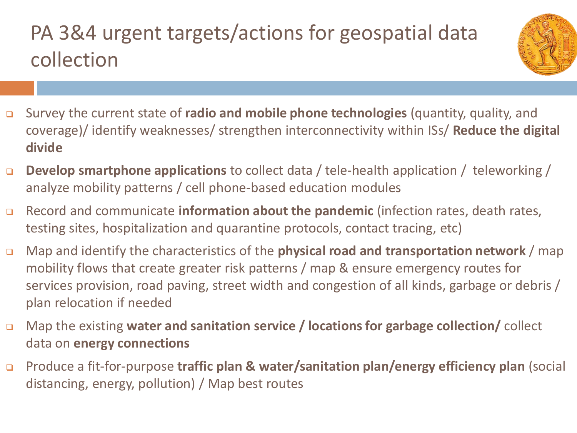## PA 3&4 urgent targets/actions for geospatial data collection



- ❑ Survey the current state of **radio and mobile phone technologies** (quantity, quality, and coverage)/ identify weaknesses/ strengthen interconnectivity within ISs/ **Reduce the digital divide**
- ❑ **Develop smartphone applications** to collect data / tele-health application / teleworking / analyze mobility patterns / cell phone-based education modules
- ❑ Record and communicate **information about the pandemic** (infection rates, death rates, testing sites, hospitalization and quarantine protocols, contact tracing, etc)
- ❑ Map and identify the characteristics of the **physical road and transportation network** / map mobility flows that create greater risk patterns / map & ensure emergency routes for services provision, road paving, street width and congestion of all kinds, garbage or debris / plan relocation if needed
- ❑ Map the existing **water and sanitation service / locations for garbage collection/** collect data on **energy connections**
- ❑ Produce a fit-for-purpose **traffic plan & water/sanitation plan/energy efficiency plan** (social distancing, energy, pollution) / Map best routes